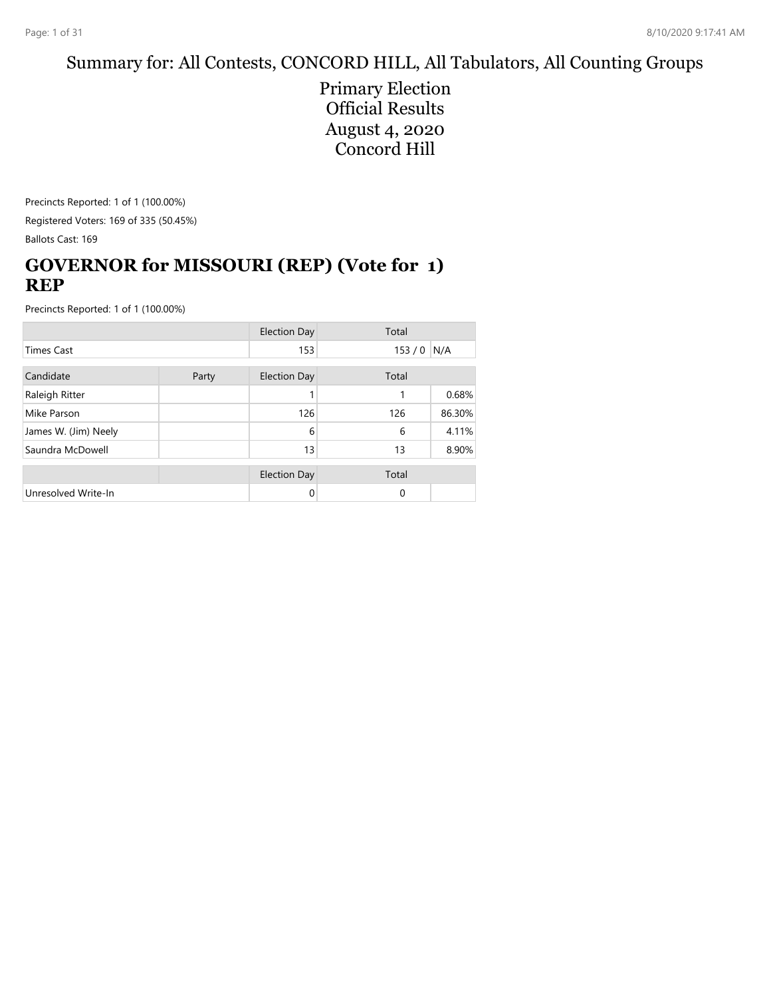## Summary for: All Contests, CONCORD HILL, All Tabulators, All Counting Groups

Primary Election Official Results August 4, 2020 Concord Hill

Precincts Reported: 1 of 1 (100.00%) Registered Voters: 169 of 335 (50.45%) Ballots Cast: 169

## **GOVERNOR for MISSOURI (REP) (Vote for 1) REP**

|                      |  | <b>Election Day</b> | Total |        |
|----------------------|--|---------------------|-------|--------|
| Times Cast           |  | 153                 | 153/0 | N/A    |
| Candidate<br>Party   |  | <b>Election Day</b> | Total |        |
| Raleigh Ritter       |  |                     |       | 0.68%  |
| Mike Parson          |  | 126                 | 126   | 86.30% |
| James W. (Jim) Neely |  | 6                   | 6     | 4.11%  |
| Saundra McDowell     |  | 13                  | 13    | 8.90%  |
|                      |  | <b>Election Day</b> | Total |        |
| Unresolved Write-In  |  | 0                   | 0     |        |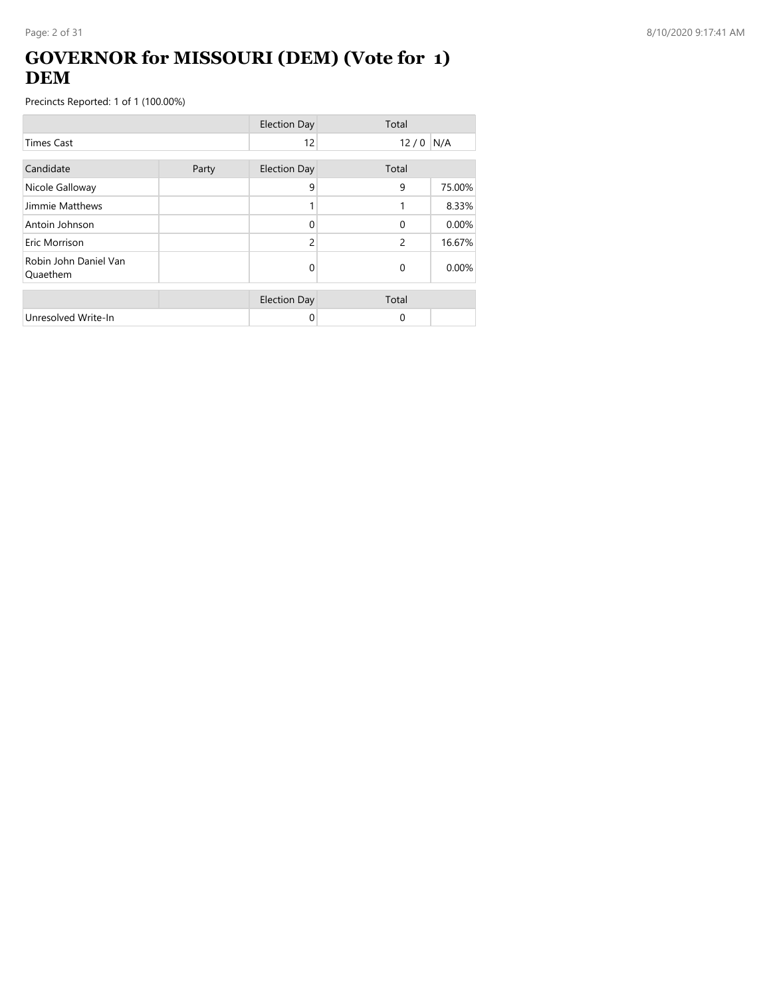## **GOVERNOR for MISSOURI (DEM) (Vote for 1) DEM**

|                                   |       | <b>Election Day</b> | Total    |        |
|-----------------------------------|-------|---------------------|----------|--------|
| <b>Times Cast</b>                 |       | 12                  | 12/0     | N/A    |
| Candidate                         | Party | <b>Election Day</b> | Total    |        |
| Nicole Galloway                   |       | 9                   | 9        | 75.00% |
| Jimmie Matthews                   |       |                     | 1        | 8.33%  |
| Antoin Johnson                    |       | $\Omega$            | $\Omega$ | 0.00%  |
| Eric Morrison                     |       | $\overline{c}$      | 2        | 16.67% |
| Robin John Daniel Van<br>Quaethem |       | 0                   | $\Omega$ | 0.00%  |
|                                   |       | <b>Election Day</b> | Total    |        |
| Unresolved Write-In               |       | 0                   | 0        |        |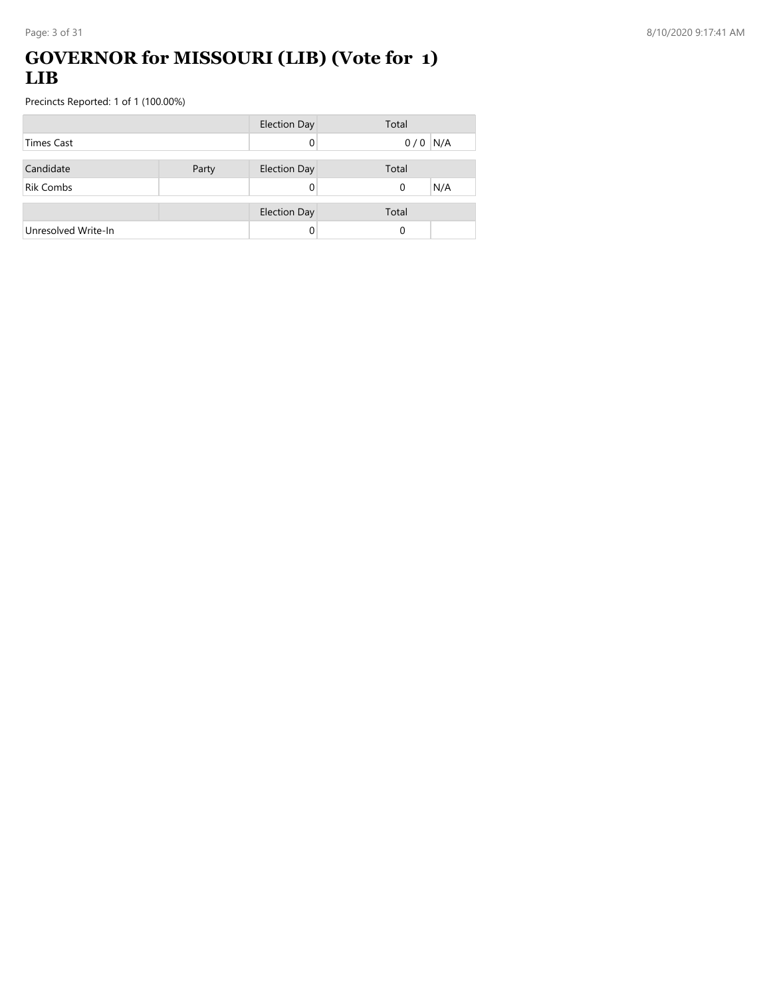#### **GOVERNOR for MISSOURI (LIB) (Vote for 1) LIB**

|                     |       | <b>Election Day</b> | Total     |     |
|---------------------|-------|---------------------|-----------|-----|
| <b>Times Cast</b>   |       | 0                   | $0/0$ N/A |     |
|                     |       |                     |           |     |
| Candidate           | Party | <b>Election Day</b> | Total     |     |
| <b>Rik Combs</b>    |       | 0                   | 0         | N/A |
|                     |       |                     |           |     |
|                     |       | <b>Election Day</b> | Total     |     |
| Unresolved Write-In |       |                     | 0         |     |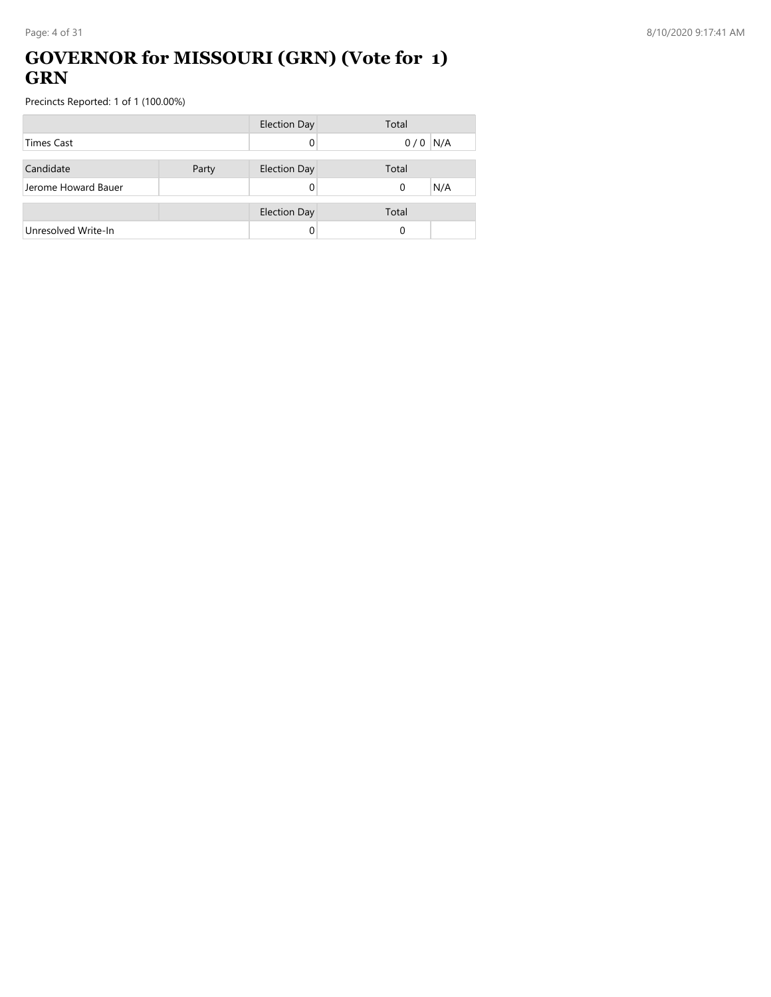### **GOVERNOR for MISSOURI (GRN) (Vote for 1) GRN**

|                     |       | <b>Election Day</b> | Total           |
|---------------------|-------|---------------------|-----------------|
| <b>Times Cast</b>   |       |                     | N/A<br>0/0      |
|                     |       |                     |                 |
| Candidate           | Party | <b>Election Day</b> | Total           |
| Jerome Howard Bauer |       |                     | N/A<br>$\Omega$ |
|                     |       |                     |                 |
|                     |       | <b>Election Day</b> | Total           |
| Unresolved Write-In |       |                     | 0               |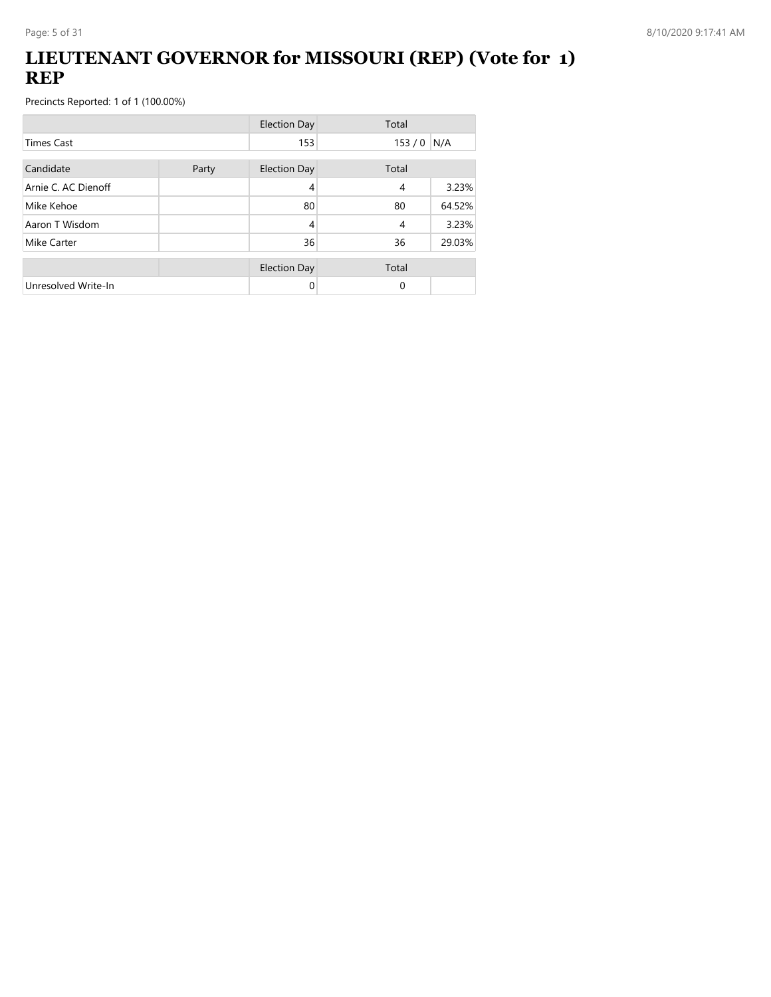### **LIEUTENANT GOVERNOR for MISSOURI (REP) (Vote for 1) REP**

|                     |       | <b>Election Day</b> | Total          |        |
|---------------------|-------|---------------------|----------------|--------|
| <b>Times Cast</b>   |       | 153                 | $153/0$ N/A    |        |
| Candidate           | Party | <b>Election Day</b> | Total          |        |
| Arnie C. AC Dienoff |       | 4                   | $\overline{4}$ | 3.23%  |
| Mike Kehoe          |       | 80                  | 80             | 64.52% |
| Aaron T Wisdom      |       | 4                   | $\overline{4}$ | 3.23%  |
| Mike Carter         |       | 36                  | 36             | 29.03% |
|                     |       | <b>Election Day</b> | Total          |        |
| Unresolved Write-In |       | 0                   | $\Omega$       |        |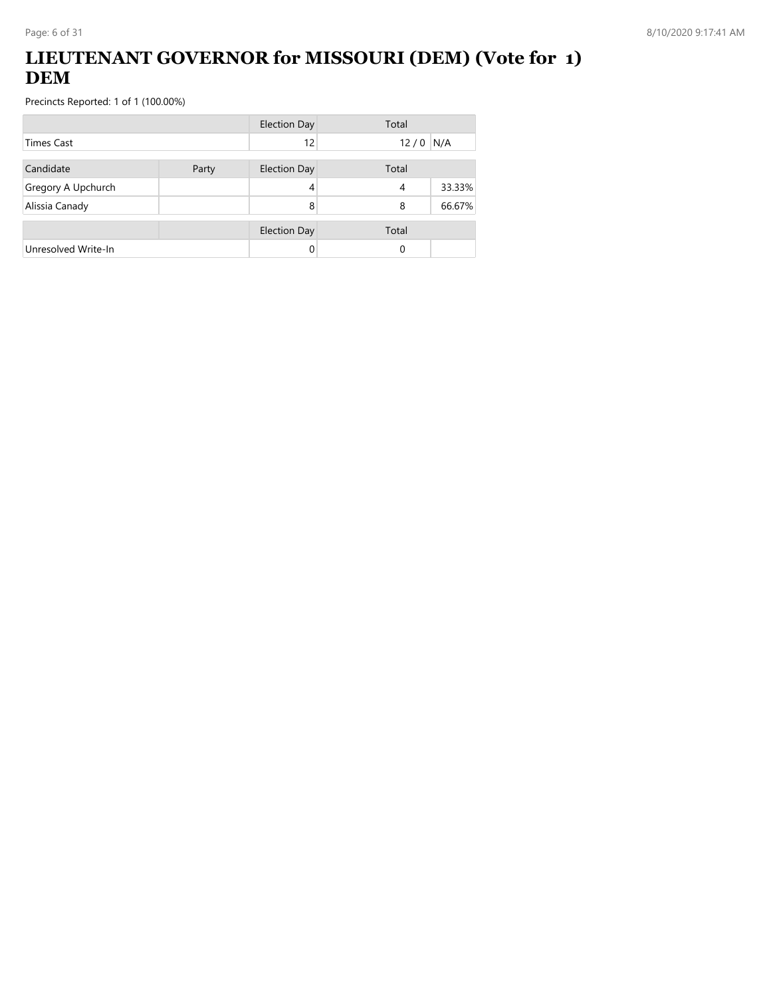## **LIEUTENANT GOVERNOR for MISSOURI (DEM) (Vote for 1) DEM**

|                     |       | <b>Election Day</b> | Total |        |
|---------------------|-------|---------------------|-------|--------|
| Times Cast          |       | 12                  | 12/0  | N/A    |
| Candidate           | Party | <b>Election Day</b> | Total |        |
| Gregory A Upchurch  |       | 4                   | 4     | 33.33% |
| Alissia Canady      |       | 8                   | 8     | 66.67% |
|                     |       | <b>Election Day</b> | Total |        |
| Unresolved Write-In |       | 0                   | 0     |        |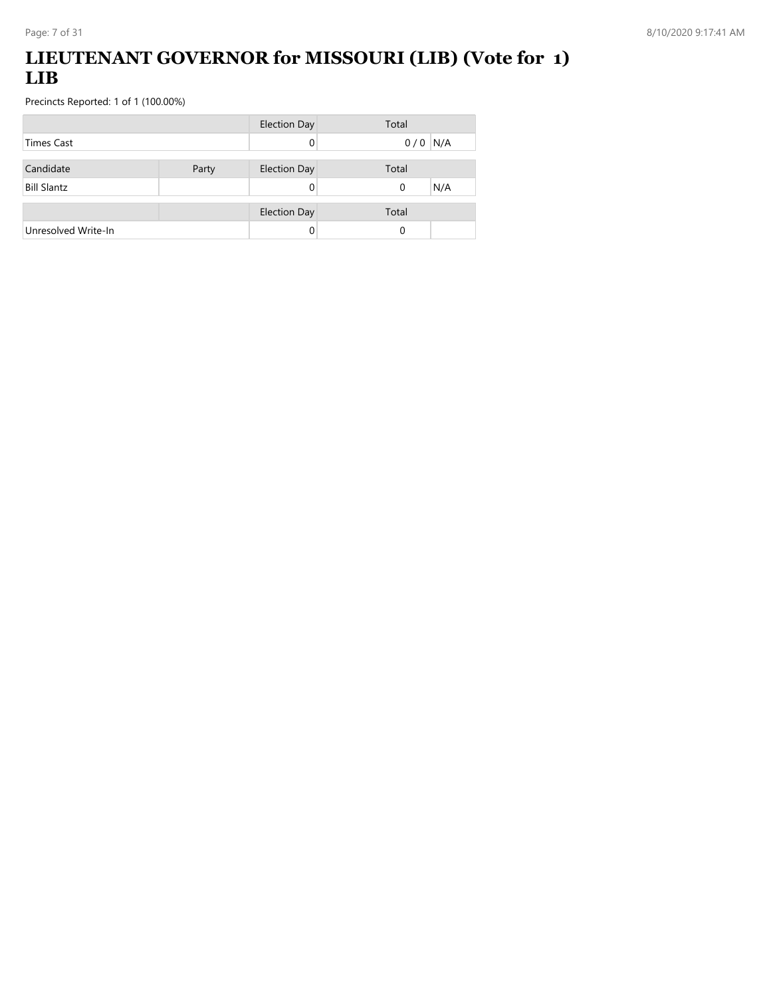## **LIEUTENANT GOVERNOR for MISSOURI (LIB) (Vote for 1) LIB**

|                     |       | <b>Election Day</b> | Total     |
|---------------------|-------|---------------------|-----------|
| <b>Times Cast</b>   |       |                     | $0/0$ N/A |
| Candidate           |       |                     | Total     |
|                     | Party | <b>Election Day</b> |           |
| <b>Bill Slantz</b>  |       |                     | N/A<br>0  |
|                     |       | <b>Election Day</b> | Total     |
| Unresolved Write-In |       |                     | 0         |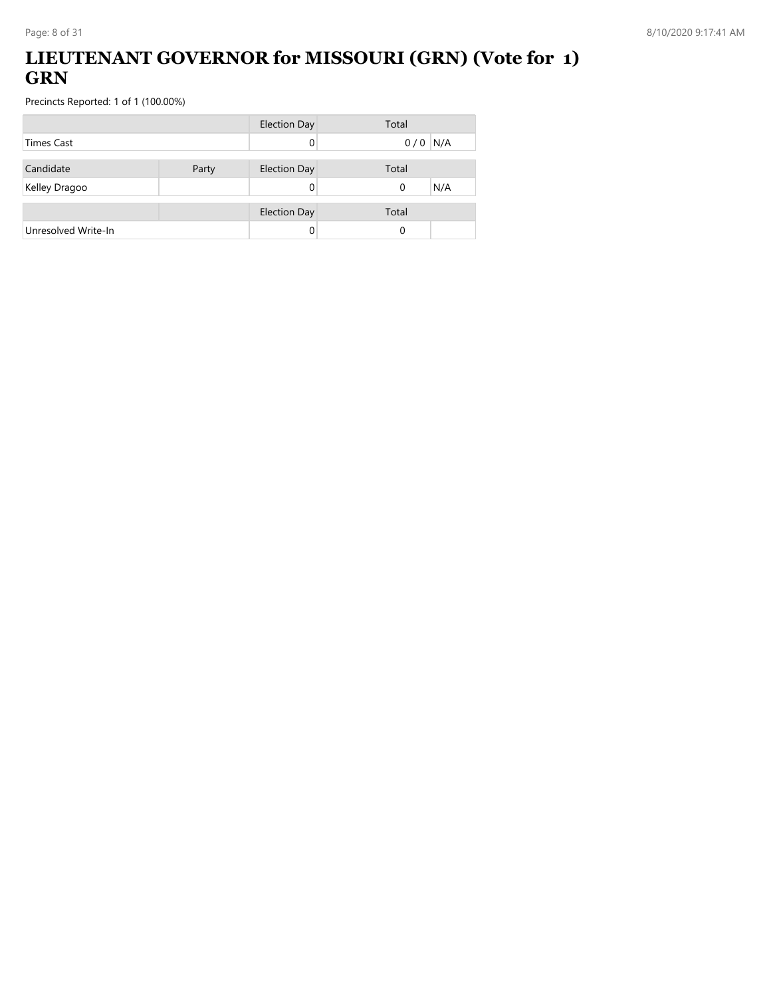## **LIEUTENANT GOVERNOR for MISSOURI (GRN) (Vote for 1) GRN**

|                     |       | <b>Election Day</b> | Total           |
|---------------------|-------|---------------------|-----------------|
| <b>Times Cast</b>   |       |                     | $0/0$ N/A       |
| Candidate           | Party | <b>Election Day</b> | Total           |
| Kelley Dragoo       |       |                     | N/A<br>$\Omega$ |
|                     |       | <b>Election Day</b> | Total           |
| Unresolved Write-In |       |                     | 0               |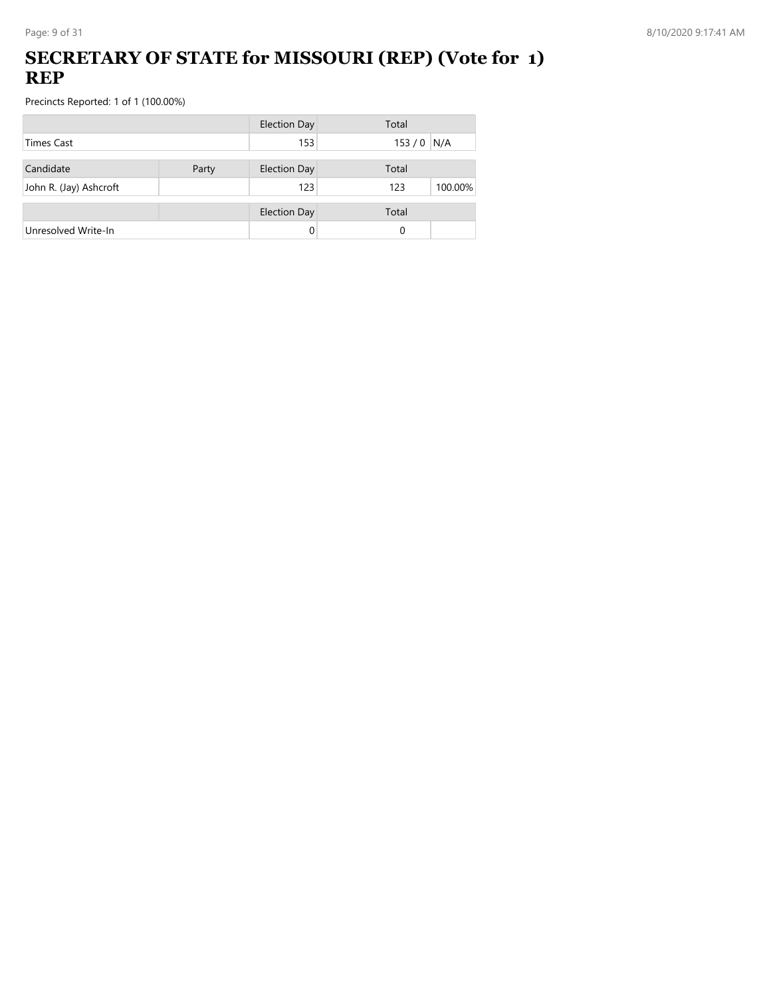## **SECRETARY OF STATE for MISSOURI (REP) (Vote for 1) REP**

|                        |       | <b>Election Day</b> | Total          |
|------------------------|-------|---------------------|----------------|
| <b>Times Cast</b>      |       | 153                 | $153/0$ N/A    |
| Candidate              | Party | <b>Election Day</b> | Total          |
| John R. (Jay) Ashcroft |       | 123                 | 100.00%<br>123 |
|                        |       | <b>Election Day</b> | Total          |
| Unresolved Write-In    |       | 0                   | 0              |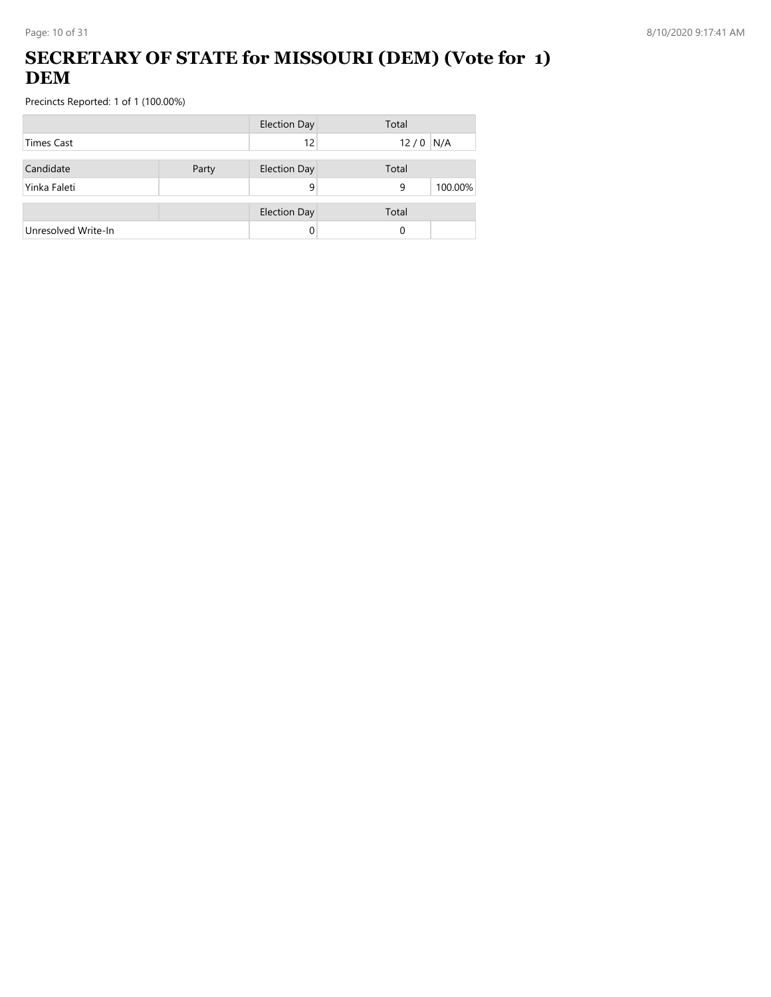## **SECRETARY OF STATE for MISSOURI (DEM) (Vote for 1) DEM**

|                     |       | <b>Election Day</b> | Total        |
|---------------------|-------|---------------------|--------------|
| Times Cast          |       | 12                  | $12/0$ N/A   |
| Candidate           | Party | <b>Election Day</b> | Total        |
| Yinka Faleti        |       | 9                   | 100.00%<br>9 |
|                     |       | <b>Election Day</b> | Total        |
| Unresolved Write-In |       |                     | 0            |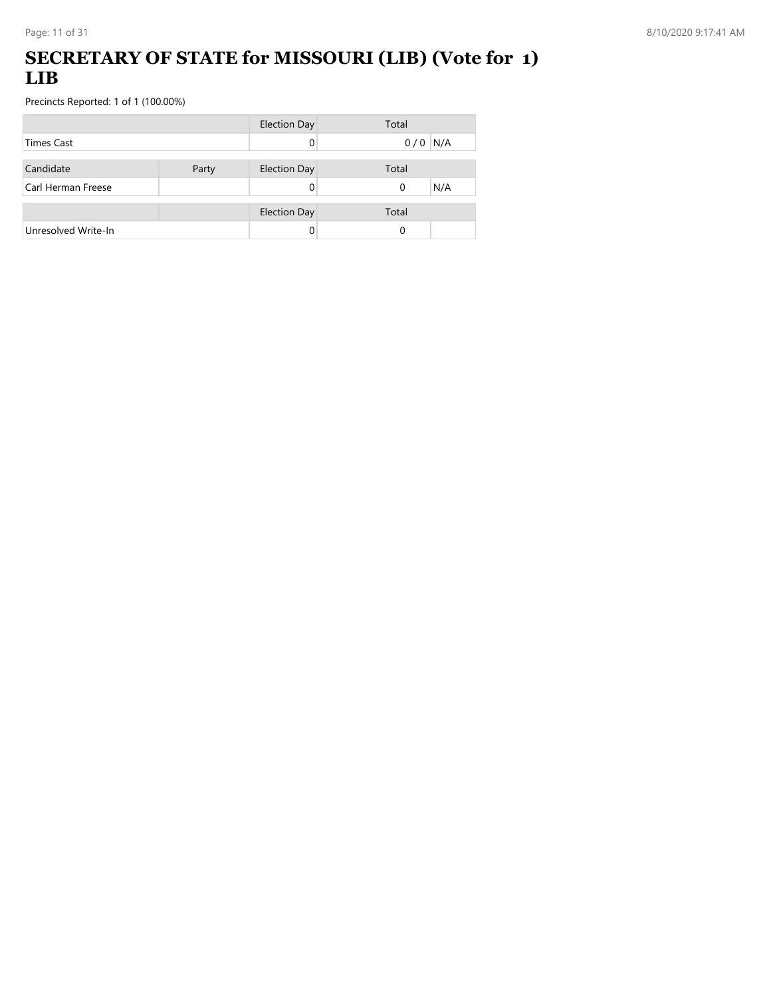### **SECRETARY OF STATE for MISSOURI (LIB) (Vote for 1) LIB**

|                     |       | <b>Election Day</b> | Total           |
|---------------------|-------|---------------------|-----------------|
| <b>Times Cast</b>   |       |                     | $0/0$ N/A       |
|                     |       |                     |                 |
| Candidate           | Party | <b>Election Day</b> | Total           |
| Carl Herman Freese  |       |                     | N/A<br>$\Omega$ |
|                     |       |                     |                 |
|                     |       | <b>Election Day</b> | Total           |
| Unresolved Write-In |       |                     | 0               |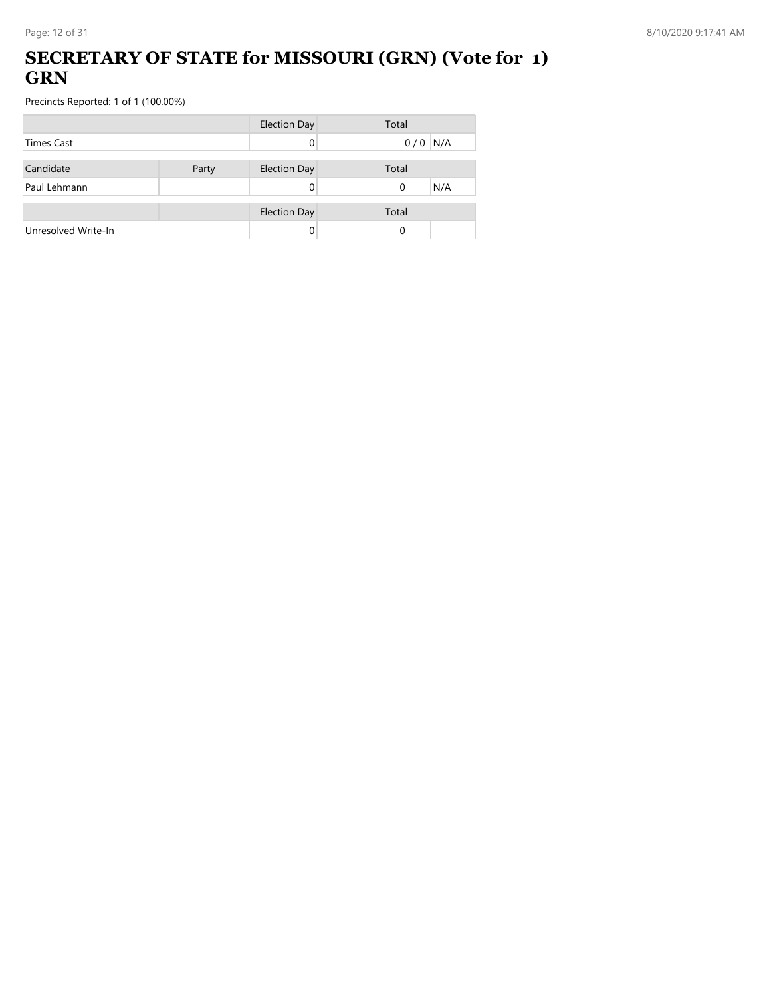### **SECRETARY OF STATE for MISSOURI (GRN) (Vote for 1) GRN**

|                     |       | <b>Election Day</b> | Total           |
|---------------------|-------|---------------------|-----------------|
| <b>Times Cast</b>   |       |                     | $0/0$ N/A       |
| Candidate           | Party | <b>Election Day</b> | Total           |
| Paul Lehmann        |       |                     | N/A<br>$\Omega$ |
|                     |       | <b>Election Day</b> | Total           |
| Unresolved Write-In |       |                     | 0               |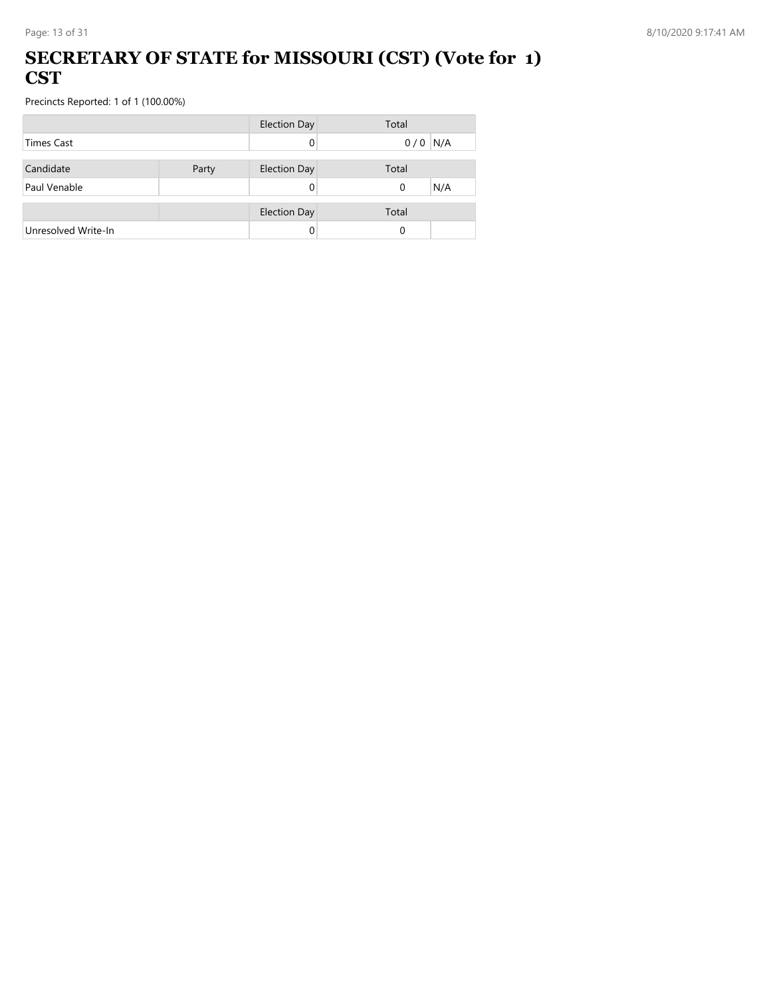#### **SECRETARY OF STATE for MISSOURI (CST) (Vote for 1) CST**

|                     |       | <b>Election Day</b> | Total     |
|---------------------|-------|---------------------|-----------|
| <b>Times Cast</b>   |       |                     | $0/0$ N/A |
|                     |       |                     |           |
| Candidate           | Party | <b>Election Day</b> | Total     |
| Paul Venable        |       |                     | N/A<br>0  |
|                     |       |                     |           |
|                     |       | <b>Election Day</b> | Total     |
| Unresolved Write-In |       |                     | $\Omega$  |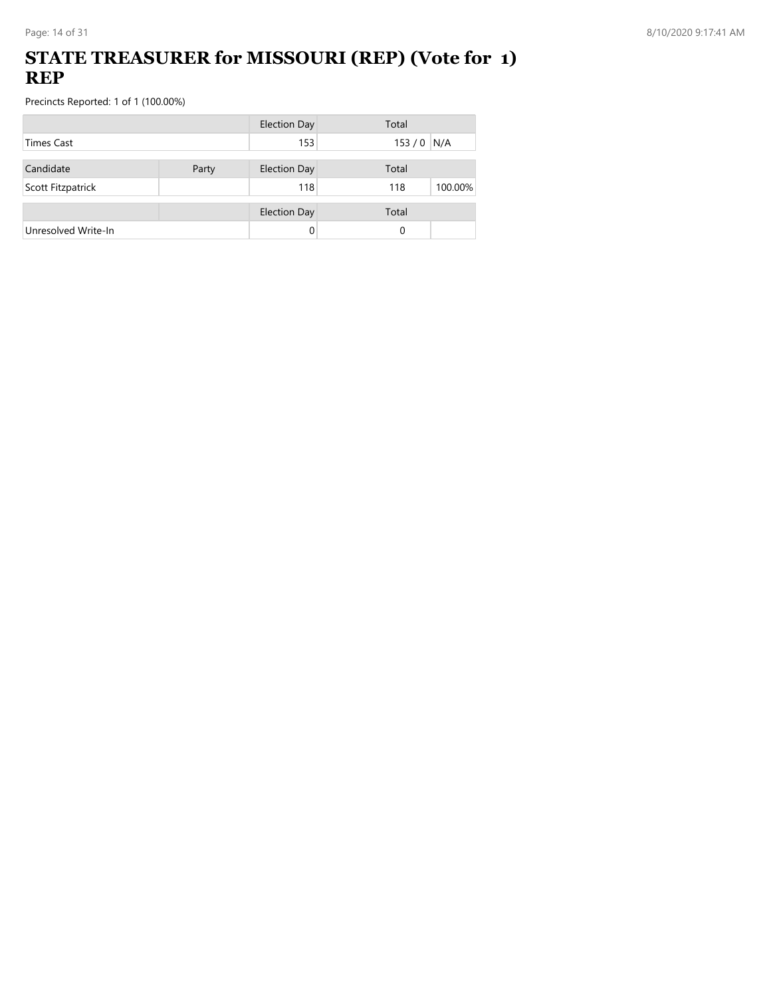### **STATE TREASURER for MISSOURI (REP) (Vote for 1) REP**

|                     |       | <b>Election Day</b> | Total          |
|---------------------|-------|---------------------|----------------|
| <b>Times Cast</b>   |       | 153                 | $153/0$ N/A    |
| Candidate           | Party | <b>Election Day</b> | Total          |
| Scott Fitzpatrick   |       | 118                 | 100.00%<br>118 |
|                     |       |                     |                |
|                     |       | <b>Election Day</b> | Total          |
| Unresolved Write-In |       | 0                   | 0              |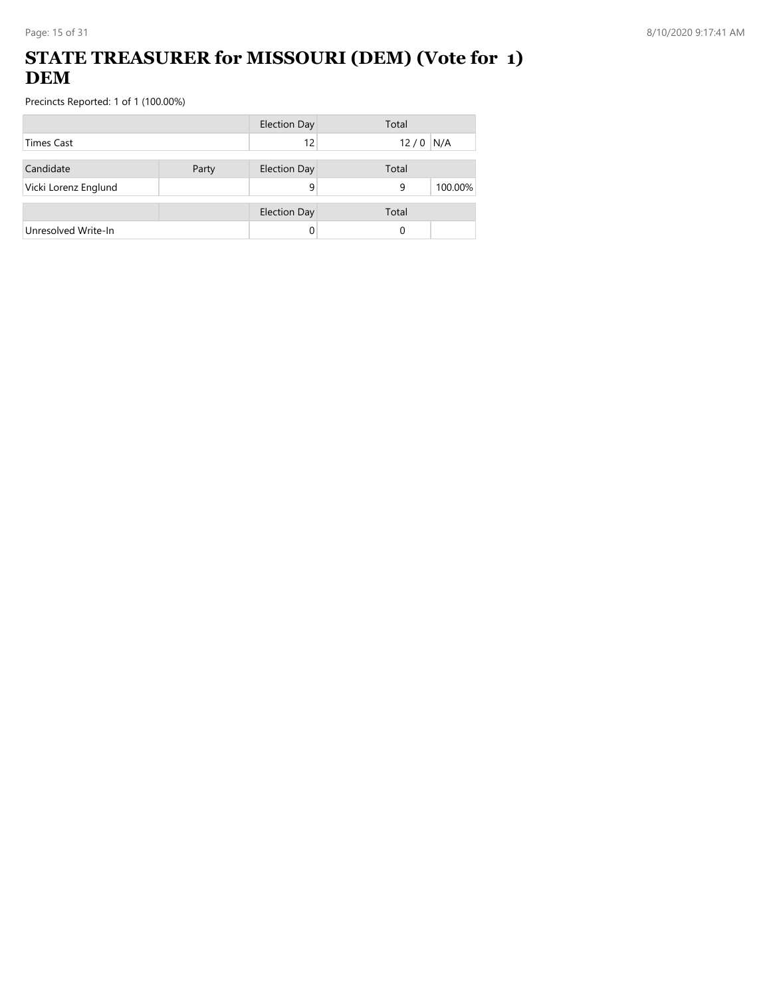## **STATE TREASURER for MISSOURI (DEM) (Vote for 1) DEM**

|                      |       | <b>Election Day</b> | Total        |
|----------------------|-------|---------------------|--------------|
| <b>Times Cast</b>    |       | 12                  | N/A<br>12/0  |
| Candidate            | Party | <b>Election Day</b> | Total        |
| Vicki Lorenz Englund |       | q                   | 100.00%<br>9 |
|                      |       | <b>Election Day</b> | Total        |
| Unresolved Write-In  |       |                     | 0            |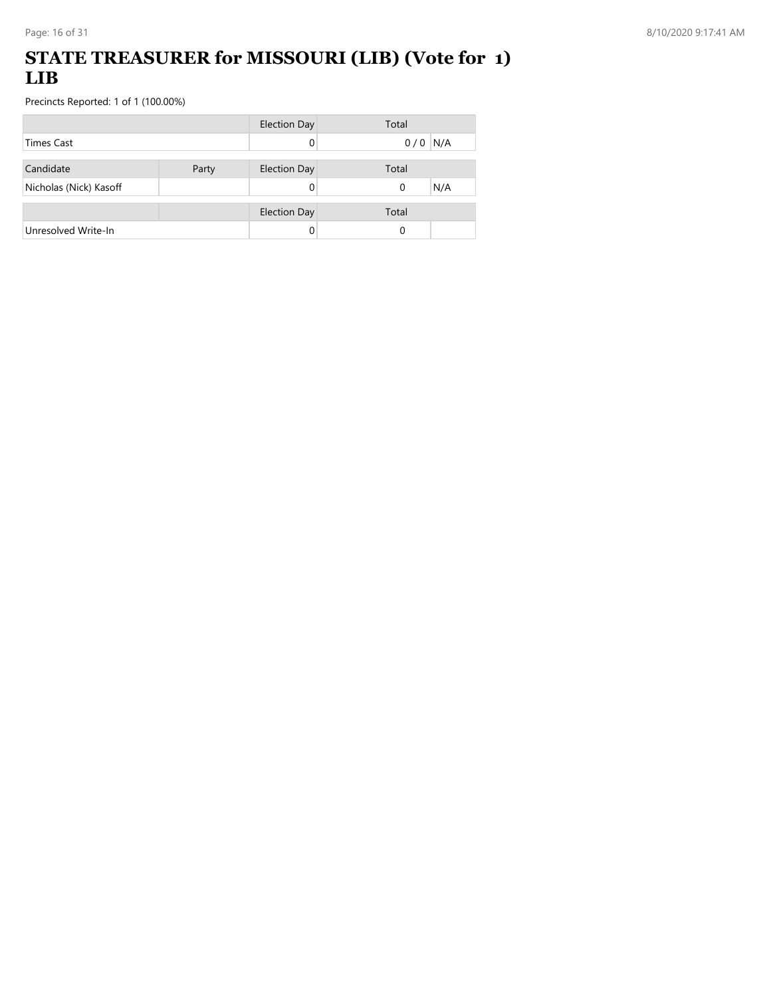### **STATE TREASURER for MISSOURI (LIB) (Vote for 1) LIB**

|                        |       | <b>Election Day</b> | Total           |
|------------------------|-------|---------------------|-----------------|
| <b>Times Cast</b>      |       | 0                   | $0/0$ N/A       |
|                        |       |                     |                 |
| Candidate              | Party | <b>Election Day</b> | Total           |
| Nicholas (Nick) Kasoff |       |                     | N/A<br>$\Omega$ |
|                        |       |                     |                 |
|                        |       | <b>Election Day</b> | Total           |
| Unresolved Write-In    |       |                     | 0               |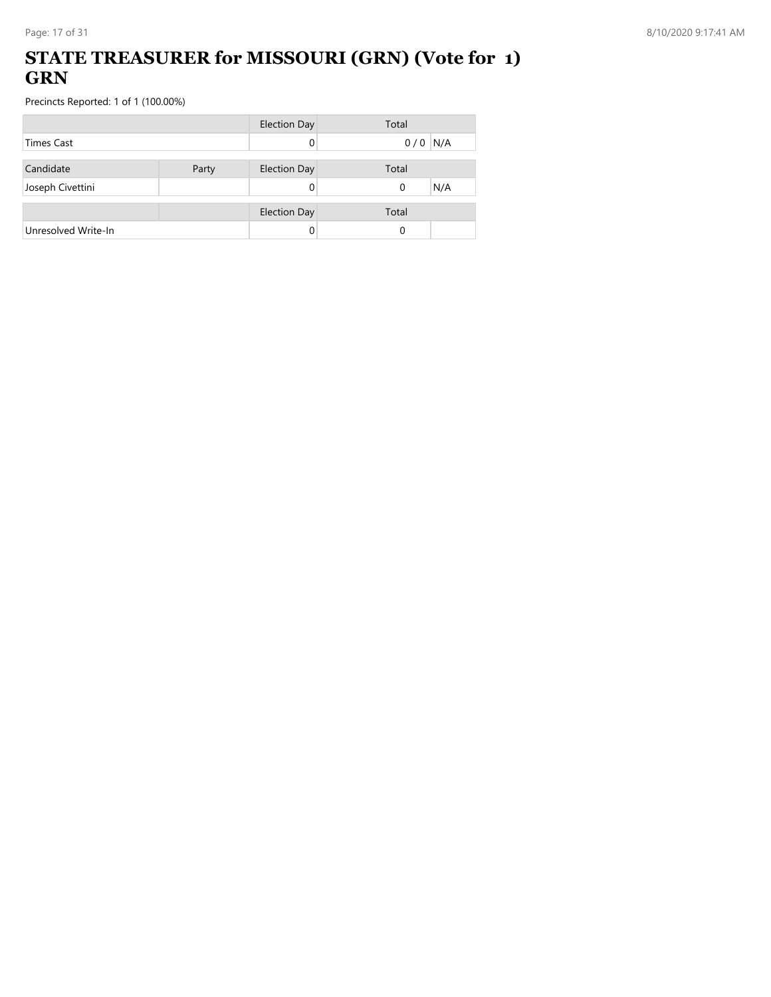### **STATE TREASURER for MISSOURI (GRN) (Vote for 1) GRN**

|                     |       | <b>Election Day</b> | Total           |
|---------------------|-------|---------------------|-----------------|
| <b>Times Cast</b>   |       |                     | $0/0$ N/A       |
| Candidate           | Party | <b>Election Day</b> | Total           |
| Joseph Civettini    |       |                     | N/A<br>$\Omega$ |
|                     |       |                     |                 |
|                     |       | <b>Election Day</b> | Total           |
| Unresolved Write-In |       |                     | 0               |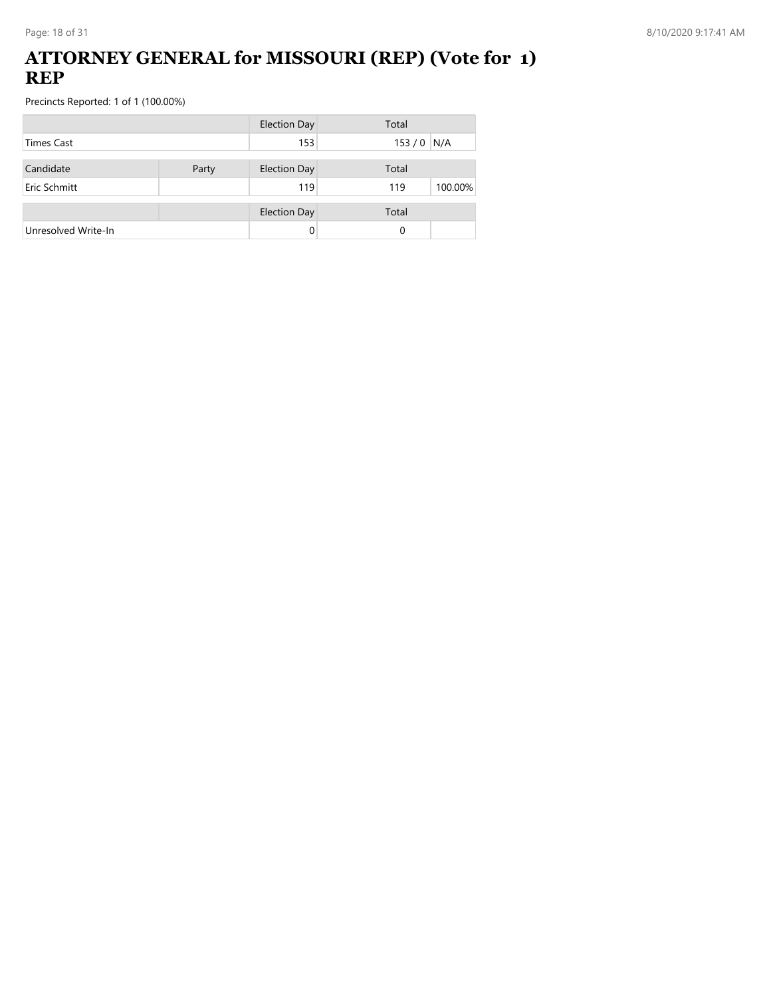#### **ATTORNEY GENERAL for MISSOURI (REP) (Vote for 1) REP**

|                     |       | <b>Election Day</b> | Total          |
|---------------------|-------|---------------------|----------------|
| <b>Times Cast</b>   |       | 153                 | $153/0$ N/A    |
| Candidate           | Party | <b>Election Day</b> | Total          |
| Eric Schmitt        |       | 119                 | 100.00%<br>119 |
|                     |       | <b>Election Day</b> | Total          |
| Unresolved Write-In |       | 0                   | 0              |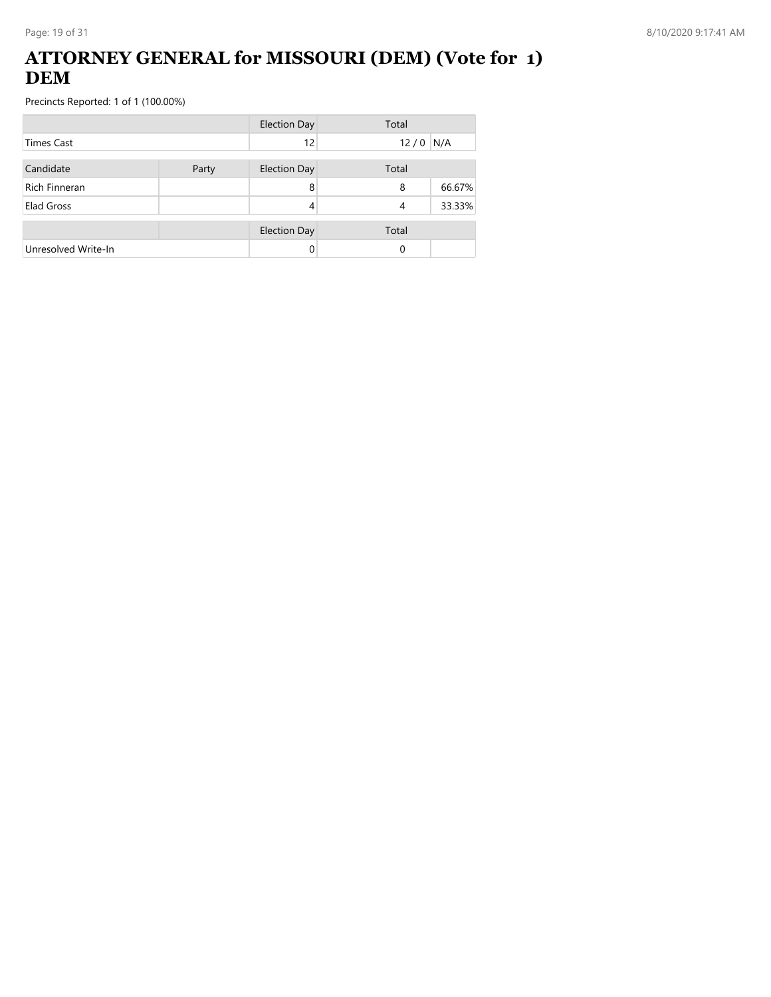### **ATTORNEY GENERAL for MISSOURI (DEM) (Vote for 1) DEM**

|                      |       | <b>Election Day</b> | Total |        |
|----------------------|-------|---------------------|-------|--------|
| <b>Times Cast</b>    |       | 12                  | 12/0  | N/A    |
| Candidate            | Party | <b>Election Day</b> | Total |        |
| <b>Rich Finneran</b> |       | 8                   | 8     | 66.67% |
| Elad Gross           |       | 4                   | 4     | 33.33% |
|                      |       | <b>Election Day</b> | Total |        |
| Unresolved Write-In  |       |                     | 0     |        |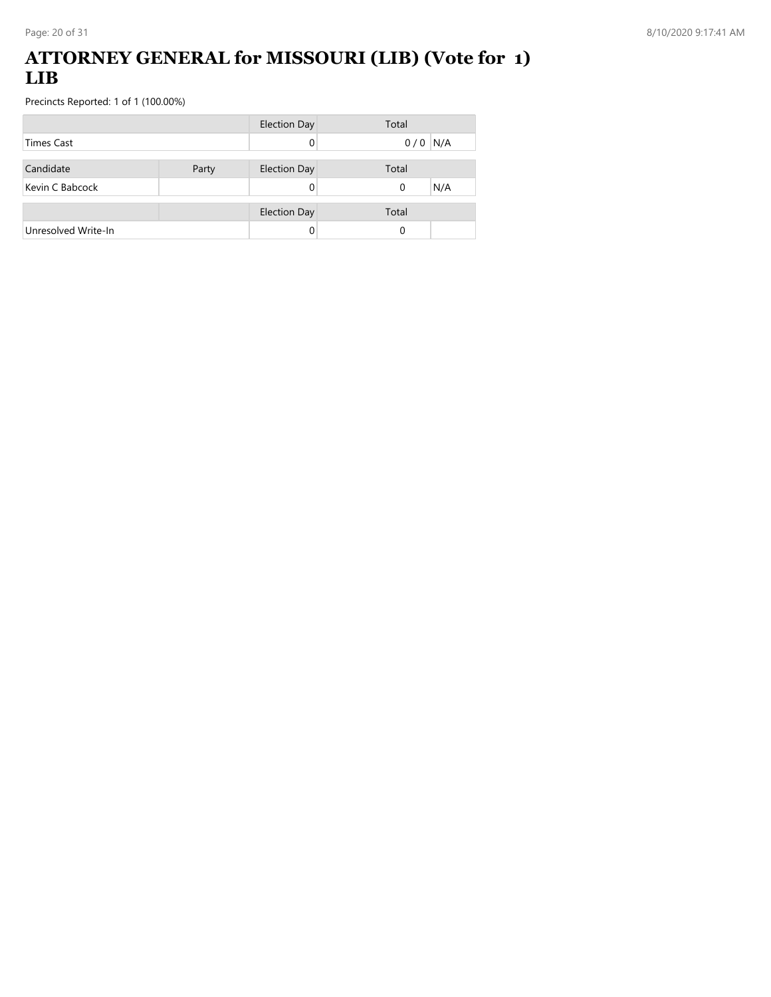### **ATTORNEY GENERAL for MISSOURI (LIB) (Vote for 1) LIB**

|                     |       | <b>Election Day</b> | Total           |
|---------------------|-------|---------------------|-----------------|
| <b>Times Cast</b>   |       |                     | $0/0$ N/A       |
|                     |       |                     |                 |
| Candidate           | Party | <b>Election Day</b> | Total           |
| Kevin C Babcock     |       |                     | N/A<br>$\Omega$ |
|                     |       |                     |                 |
|                     |       | <b>Election Day</b> | Total           |
| Unresolved Write-In |       |                     | 0               |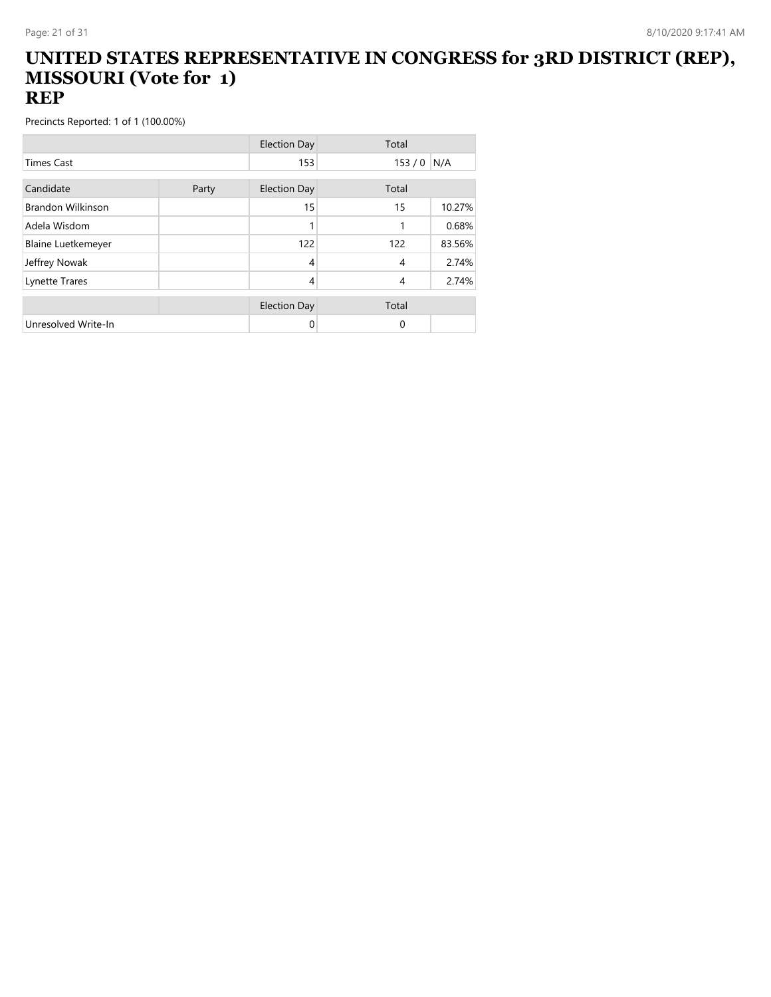#### **UNITED STATES REPRESENTATIVE IN CONGRESS for 3RD DISTRICT (REP), MISSOURI (Vote for 1) REP**

|                           |       | <b>Election Day</b> | Total          |        |
|---------------------------|-------|---------------------|----------------|--------|
| <b>Times Cast</b>         |       | 153                 | 153/0          | N/A    |
| Candidate                 | Party | <b>Election Day</b> | Total          |        |
| Brandon Wilkinson         |       | 15                  | 15             | 10.27% |
| Adela Wisdom              |       |                     | 1              | 0.68%  |
| <b>Blaine Luetkemeyer</b> |       | 122                 | 122            | 83.56% |
| Jeffrey Nowak             |       | 4                   | $\overline{4}$ | 2.74%  |
| Lynette Trares            |       | 4                   | $\overline{4}$ | 2.74%  |
|                           |       | <b>Election Day</b> | Total          |        |
| Unresolved Write-In       |       | 0                   | 0              |        |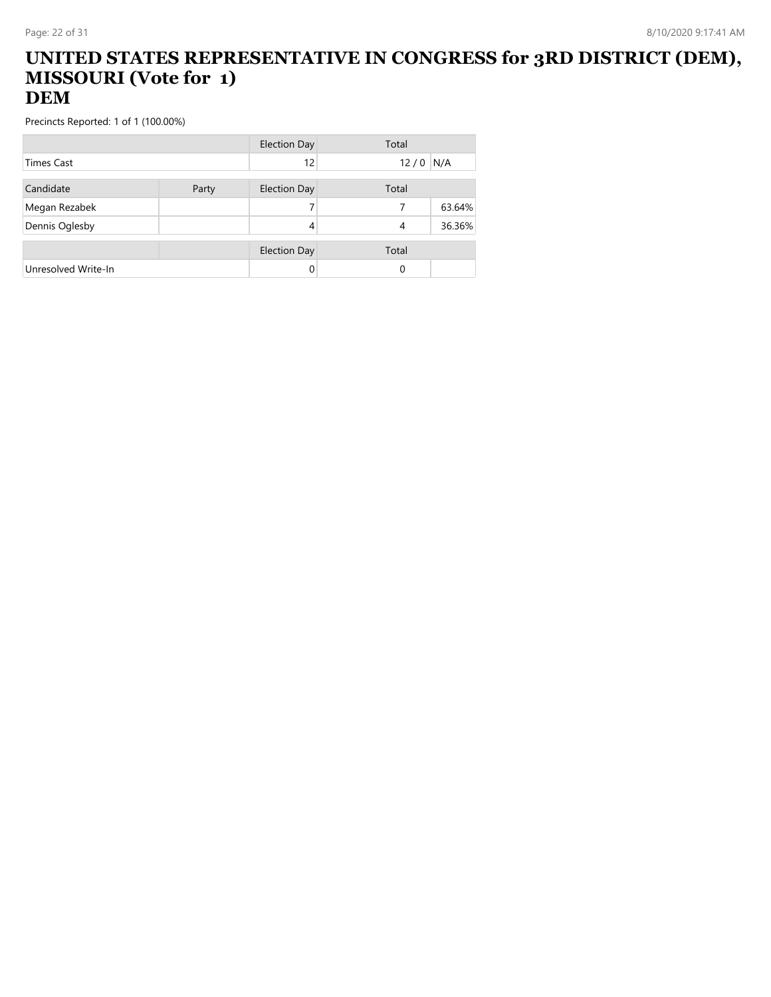#### **UNITED STATES REPRESENTATIVE IN CONGRESS for 3RD DISTRICT (DEM), MISSOURI (Vote for 1) DEM**

|                     |       | <b>Election Day</b> | Total |        |
|---------------------|-------|---------------------|-------|--------|
| <b>Times Cast</b>   |       | 12                  | 12/0  | N/A    |
|                     |       |                     |       |        |
| Candidate           | Party | <b>Election Day</b> | Total |        |
| Megan Rezabek       |       |                     | 7     | 63.64% |
| Dennis Oglesby      |       | 4                   | 4     | 36.36% |
|                     |       |                     |       |        |
|                     |       | <b>Election Day</b> | Total |        |
| Unresolved Write-In |       |                     | 0     |        |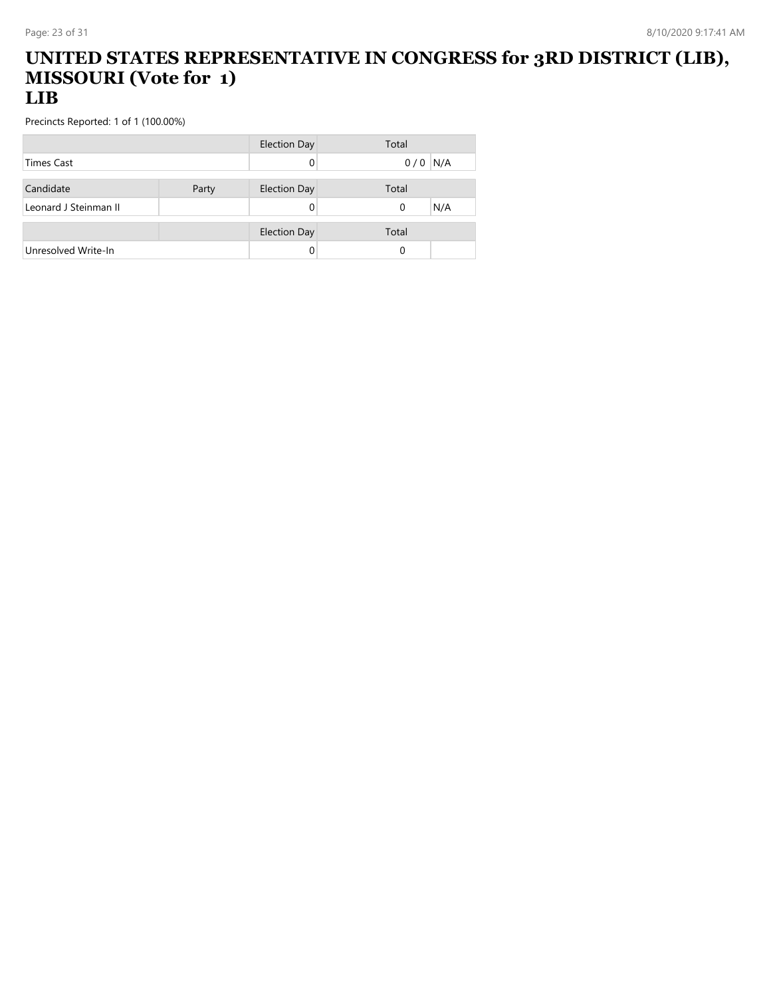#### **UNITED STATES REPRESENTATIVE IN CONGRESS for 3RD DISTRICT (LIB), MISSOURI (Vote for 1) LIB**

|                       |       | <b>Election Day</b> | Total           |
|-----------------------|-------|---------------------|-----------------|
| <b>Times Cast</b>     |       |                     | N/A<br>0/0      |
|                       |       |                     |                 |
| Candidate             | Party | <b>Election Day</b> | Total           |
| Leonard J Steinman II |       |                     | N/A<br>$\Omega$ |
|                       |       |                     |                 |
|                       |       | <b>Election Day</b> | Total           |
| Unresolved Write-In   |       |                     |                 |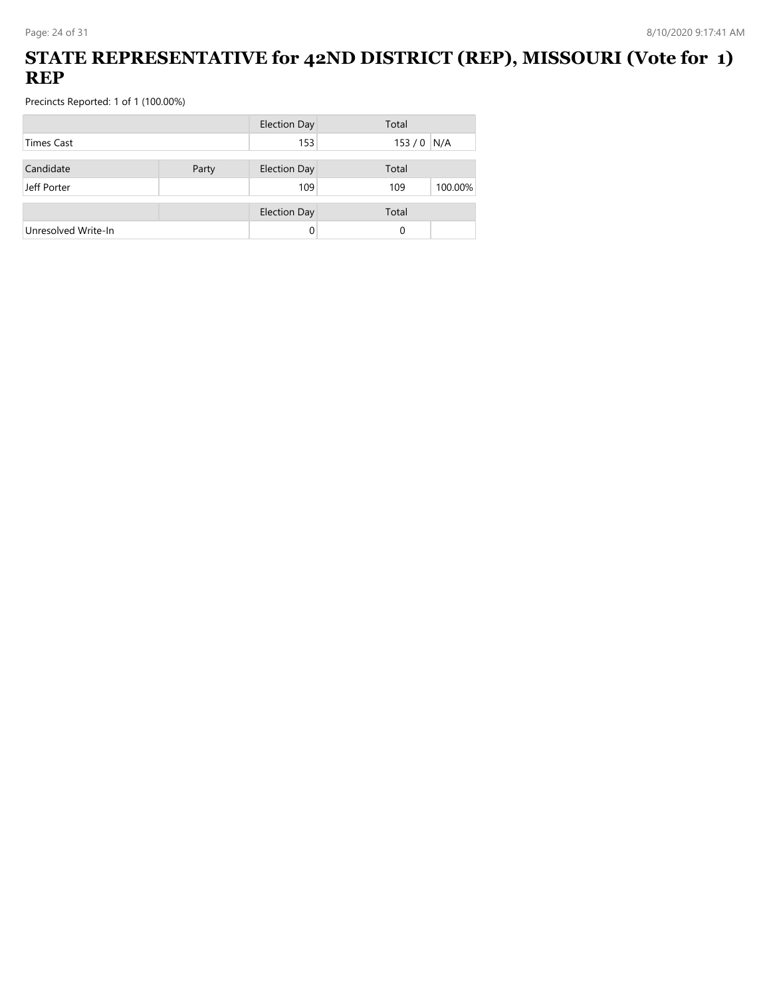## **STATE REPRESENTATIVE for 42ND DISTRICT (REP), MISSOURI (Vote for 1) REP**

|                     |       | <b>Election Day</b> | Total          |
|---------------------|-------|---------------------|----------------|
| <b>Times Cast</b>   |       | 153                 | $153/0$ N/A    |
| Candidate           | Party | <b>Election Day</b> | Total          |
| Jeff Porter         |       | 109                 | 100.00%<br>109 |
|                     |       |                     |                |
|                     |       | <b>Election Day</b> | Total          |
| Unresolved Write-In |       |                     | 0              |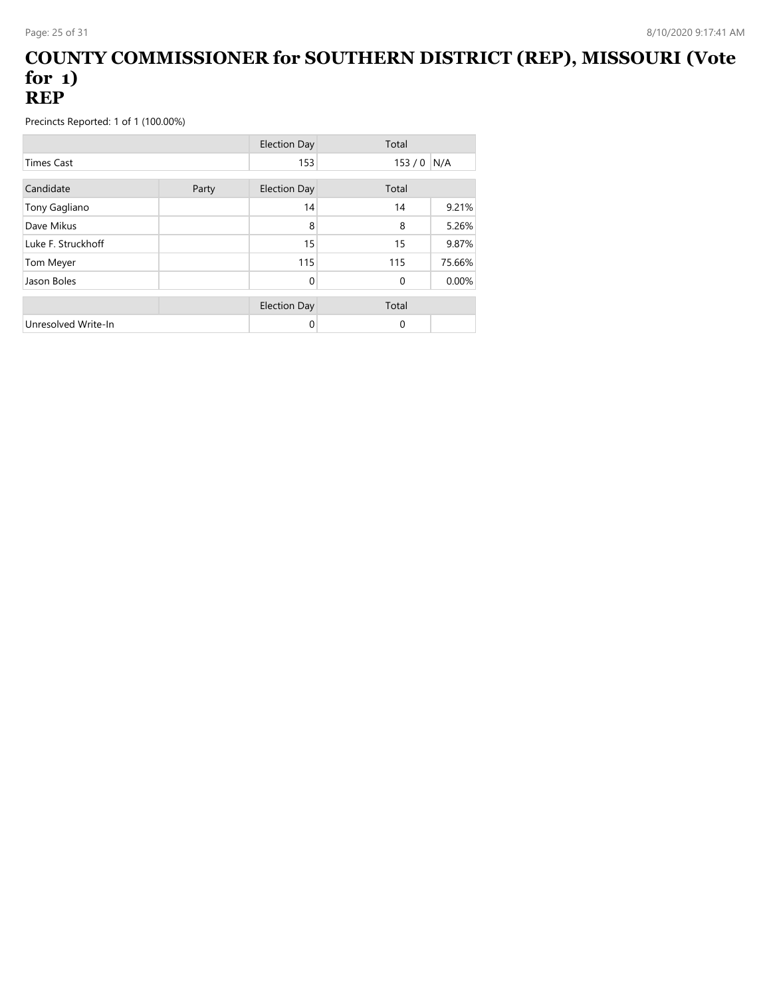#### **COUNTY COMMISSIONER for SOUTHERN DISTRICT (REP), MISSOURI (Vote for 1) REP**

|                     |       | <b>Election Day</b> | Total       |        |
|---------------------|-------|---------------------|-------------|--------|
| <b>Times Cast</b>   |       | 153                 | 153/0       | N/A    |
| Candidate           | Party | <b>Election Day</b> | Total       |        |
| Tony Gagliano       |       | 14                  | 14          | 9.21%  |
| Dave Mikus          |       | 8                   | 8           | 5.26%  |
| Luke F. Struckhoff  |       | 15                  | 15          | 9.87%  |
| Tom Meyer           |       | 115                 | 115         | 75.66% |
| Jason Boles         |       | $\Omega$            | $\mathbf 0$ | 0.00%  |
|                     |       | <b>Election Day</b> | Total       |        |
| Unresolved Write-In |       | 0                   | $\Omega$    |        |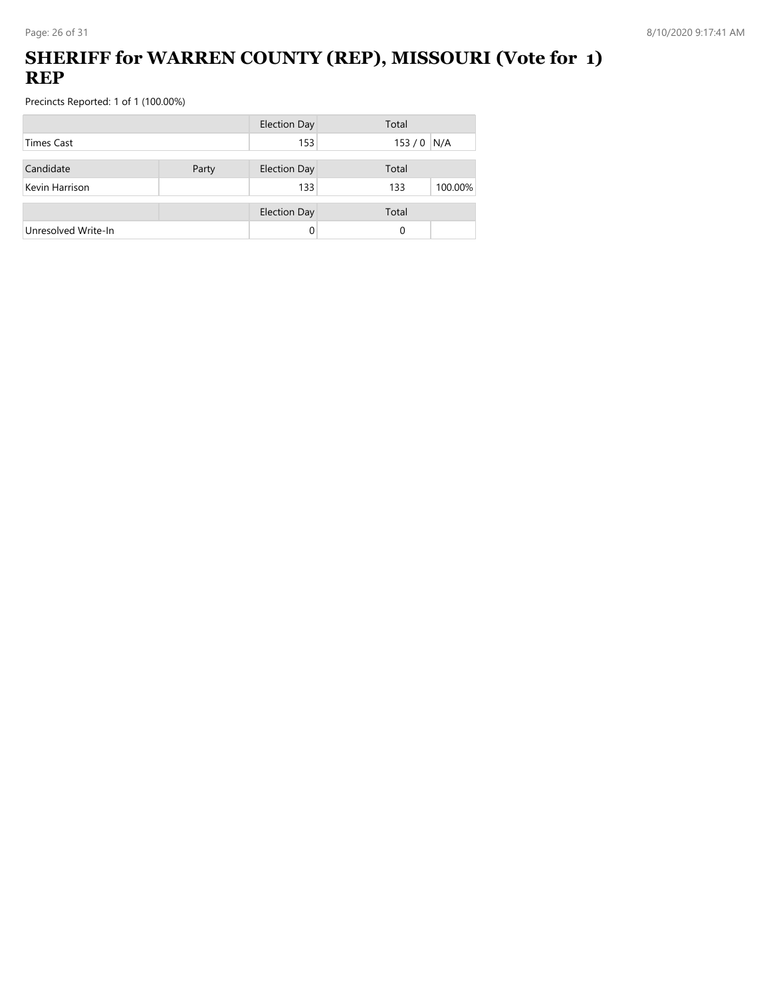## **SHERIFF for WARREN COUNTY (REP), MISSOURI (Vote for 1) REP**

|                     |       | <b>Election Day</b> | Total          |
|---------------------|-------|---------------------|----------------|
| Times Cast          |       | 153                 | 153/0<br>N/A   |
| Candidate           | Party | <b>Election Day</b> | Total          |
| Kevin Harrison      |       | 133                 | 100.00%<br>133 |
|                     |       | <b>Election Day</b> | Total          |
| Unresolved Write-In |       | 0                   | 0              |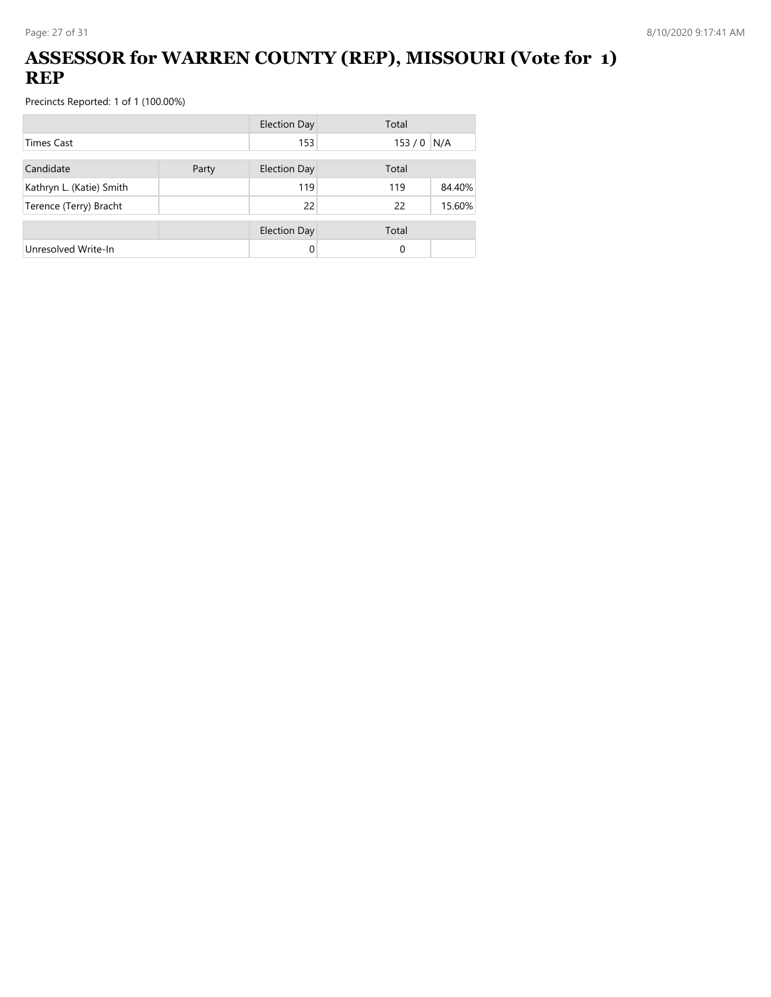## **ASSESSOR for WARREN COUNTY (REP), MISSOURI (Vote for 1) REP**

|                          |       | <b>Election Day</b> | Total |        |
|--------------------------|-------|---------------------|-------|--------|
| <b>Times Cast</b>        |       | 153                 | 153/0 | N/A    |
| Candidate                | Party | <b>Election Day</b> | Total |        |
| Kathryn L. (Katie) Smith |       | 119                 | 119   | 84.40% |
| Terence (Terry) Bracht   |       | 22                  | 22    | 15.60% |
|                          |       | <b>Election Day</b> | Total |        |
| Unresolved Write-In      |       |                     | 0     |        |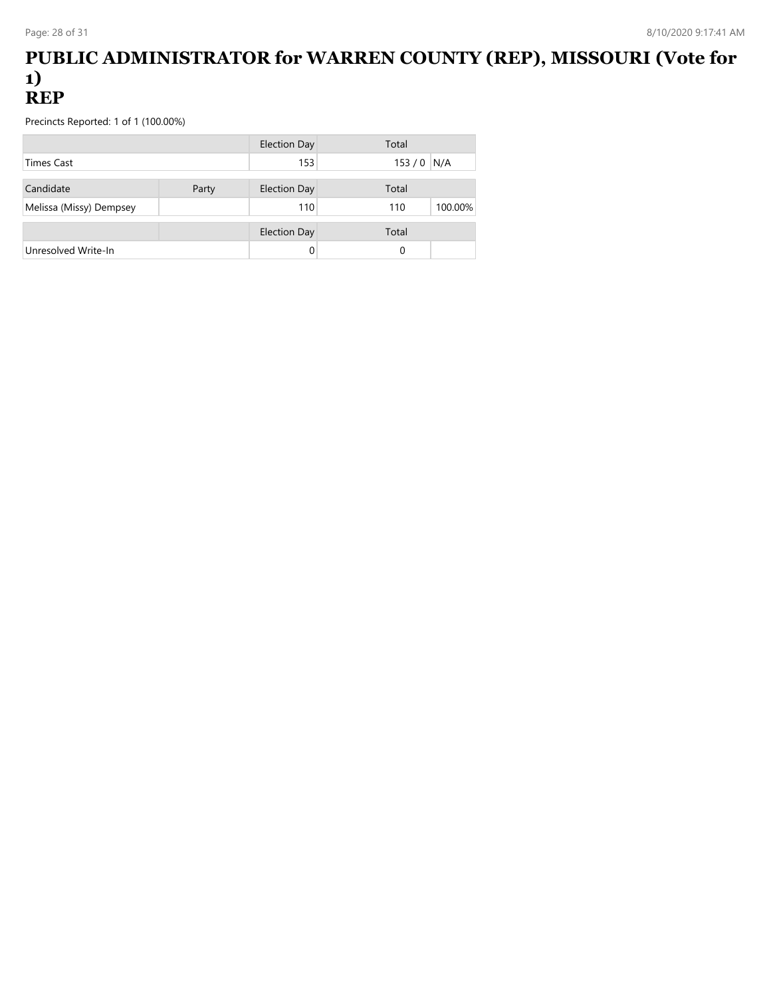#### **PUBLIC ADMINISTRATOR for WARREN COUNTY (REP), MISSOURI (Vote for 1) REP**

|                         |       | Election Day        | Total       |         |
|-------------------------|-------|---------------------|-------------|---------|
| Times Cast              |       | 153                 | $153/0$ N/A |         |
|                         |       |                     |             |         |
| Candidate               | Party | <b>Election Day</b> | Total       |         |
| Melissa (Missy) Dempsey |       | 110                 | 110         | 100.00% |
|                         |       |                     |             |         |
|                         |       | <b>Election Day</b> | Total       |         |
| Unresolved Write-In     |       |                     | 0           |         |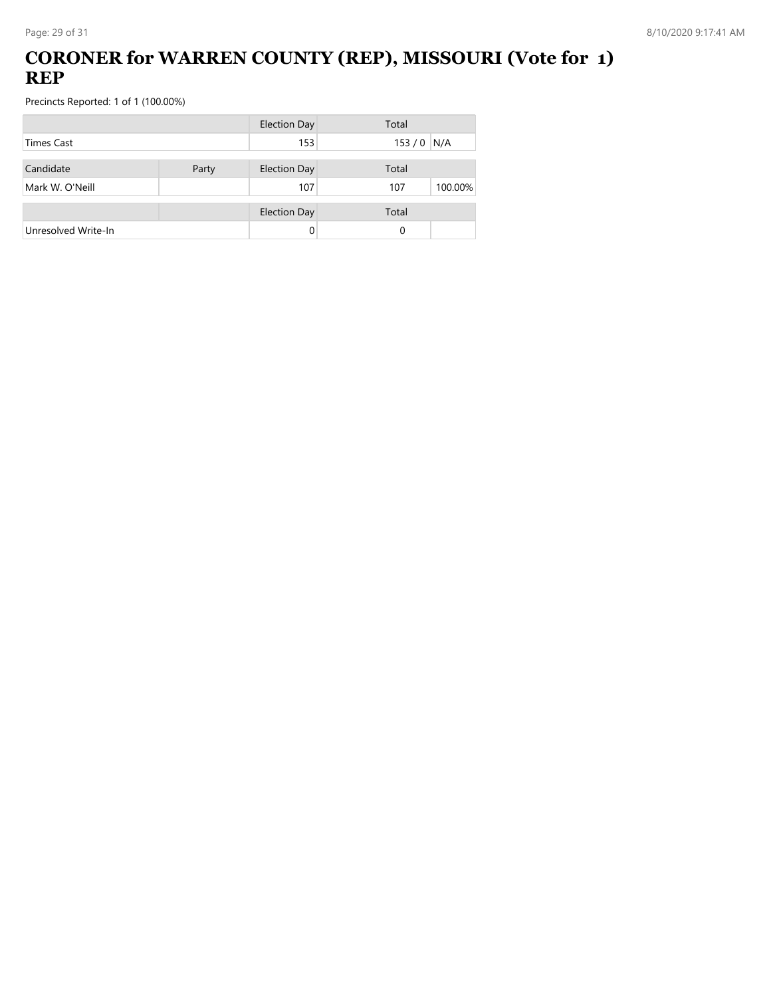## **CORONER for WARREN COUNTY (REP), MISSOURI (Vote for 1) REP**

|                     |       | <b>Election Day</b> | Total          |
|---------------------|-------|---------------------|----------------|
| <b>Times Cast</b>   |       | 153                 | $153/0$ N/A    |
| Candidate           | Party | <b>Election Day</b> | Total          |
| Mark W. O'Neill     |       | 107                 | 100.00%<br>107 |
|                     |       | <b>Election Day</b> | Total          |
| Unresolved Write-In |       | 0                   | 0              |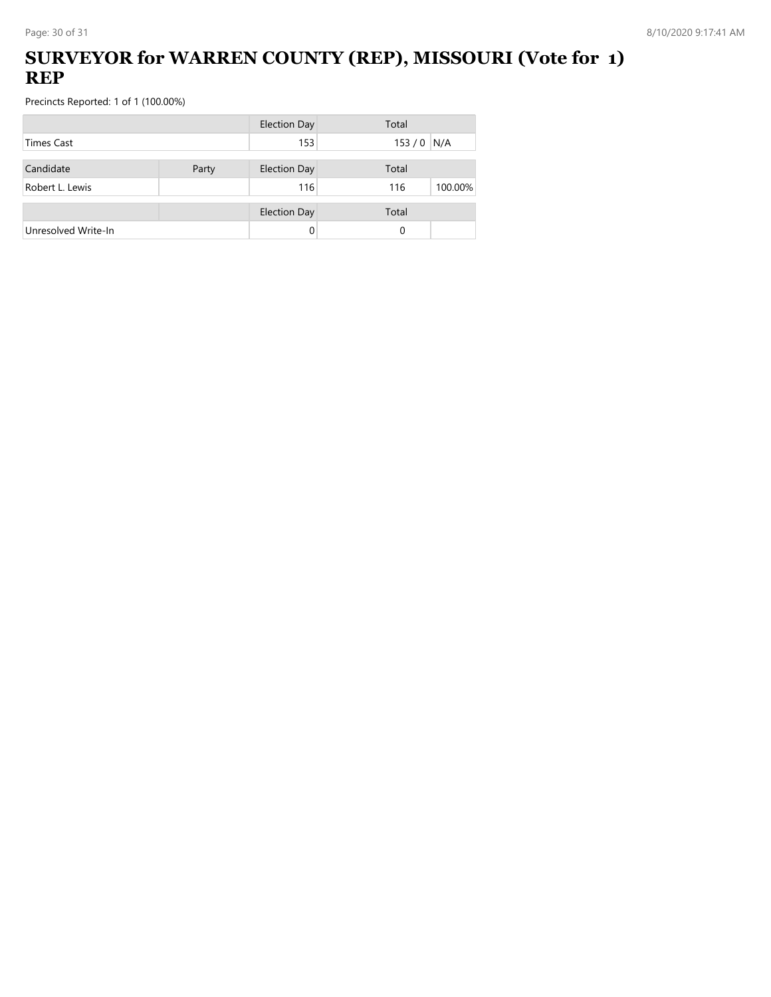## **SURVEYOR for WARREN COUNTY (REP), MISSOURI (Vote for 1) REP**

|                     |       | <b>Election Day</b> | Total          |
|---------------------|-------|---------------------|----------------|
| <b>Times Cast</b>   |       | 153                 | $153/0$ N/A    |
| Candidate           | Party | <b>Election Day</b> | Total          |
| Robert L. Lewis     |       | 116                 | 100.00%<br>116 |
|                     |       | <b>Election Day</b> | Total          |
| Unresolved Write-In |       | 0                   | 0              |